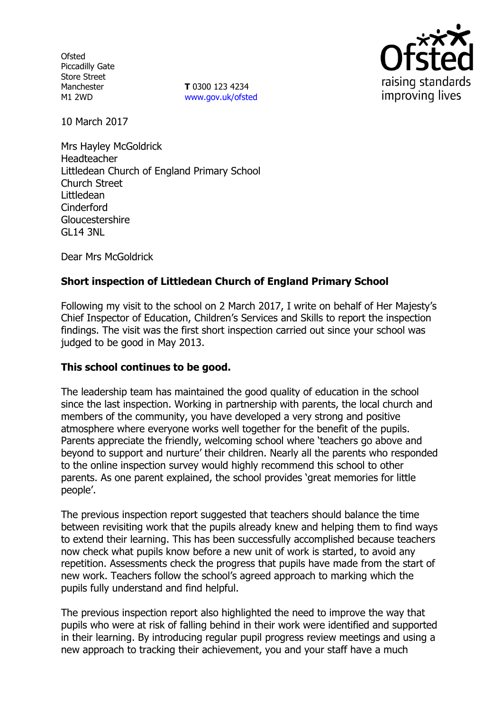**Ofsted** Piccadilly Gate Store Street Manchester M1 2WD

**T** 0300 123 4234 www.gov.uk/ofsted



10 March 2017

Mrs Hayley McGoldrick Headteacher Littledean Church of England Primary School Church Street Littledean Cinderford **Gloucestershire** GL14 3NL

Dear Mrs McGoldrick

# **Short inspection of Littledean Church of England Primary School**

Following my visit to the school on 2 March 2017, I write on behalf of Her Majesty's Chief Inspector of Education, Children's Services and Skills to report the inspection findings. The visit was the first short inspection carried out since your school was judged to be good in May 2013.

## **This school continues to be good.**

The leadership team has maintained the good quality of education in the school since the last inspection. Working in partnership with parents, the local church and members of the community, you have developed a very strong and positive atmosphere where everyone works well together for the benefit of the pupils. Parents appreciate the friendly, welcoming school where 'teachers go above and beyond to support and nurture' their children. Nearly all the parents who responded to the online inspection survey would highly recommend this school to other parents. As one parent explained, the school provides 'great memories for little people'.

The previous inspection report suggested that teachers should balance the time between revisiting work that the pupils already knew and helping them to find ways to extend their learning. This has been successfully accomplished because teachers now check what pupils know before a new unit of work is started, to avoid any repetition. Assessments check the progress that pupils have made from the start of new work. Teachers follow the school's agreed approach to marking which the pupils fully understand and find helpful.

The previous inspection report also highlighted the need to improve the way that pupils who were at risk of falling behind in their work were identified and supported in their learning. By introducing regular pupil progress review meetings and using a new approach to tracking their achievement, you and your staff have a much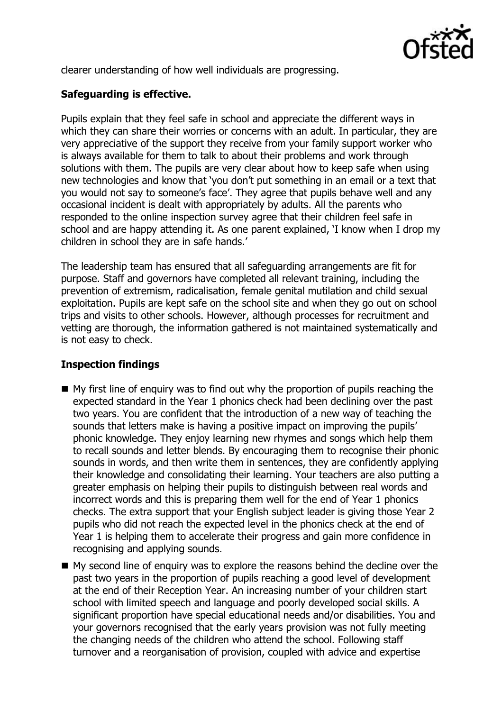

clearer understanding of how well individuals are progressing.

## **Safeguarding is effective.**

Pupils explain that they feel safe in school and appreciate the different ways in which they can share their worries or concerns with an adult. In particular, they are very appreciative of the support they receive from your family support worker who is always available for them to talk to about their problems and work through solutions with them. The pupils are very clear about how to keep safe when using new technologies and know that 'you don't put something in an email or a text that you would not say to someone's face'. They agree that pupils behave well and any occasional incident is dealt with appropriately by adults. All the parents who responded to the online inspection survey agree that their children feel safe in school and are happy attending it. As one parent explained, 'I know when I drop my children in school they are in safe hands.'

The leadership team has ensured that all safeguarding arrangements are fit for purpose. Staff and governors have completed all relevant training, including the prevention of extremism, radicalisation, female genital mutilation and child sexual exploitation. Pupils are kept safe on the school site and when they go out on school trips and visits to other schools. However, although processes for recruitment and vetting are thorough, the information gathered is not maintained systematically and is not easy to check.

## **Inspection findings**

- $\blacksquare$  My first line of enquiry was to find out why the proportion of pupils reaching the expected standard in the Year 1 phonics check had been declining over the past two years. You are confident that the introduction of a new way of teaching the sounds that letters make is having a positive impact on improving the pupils' phonic knowledge. They enjoy learning new rhymes and songs which help them to recall sounds and letter blends. By encouraging them to recognise their phonic sounds in words, and then write them in sentences, they are confidently applying their knowledge and consolidating their learning. Your teachers are also putting a greater emphasis on helping their pupils to distinguish between real words and incorrect words and this is preparing them well for the end of Year 1 phonics checks. The extra support that your English subject leader is giving those Year 2 pupils who did not reach the expected level in the phonics check at the end of Year 1 is helping them to accelerate their progress and gain more confidence in recognising and applying sounds.
- My second line of enquiry was to explore the reasons behind the decline over the past two years in the proportion of pupils reaching a good level of development at the end of their Reception Year. An increasing number of your children start school with limited speech and language and poorly developed social skills. A significant proportion have special educational needs and/or disabilities. You and your governors recognised that the early years provision was not fully meeting the changing needs of the children who attend the school. Following staff turnover and a reorganisation of provision, coupled with advice and expertise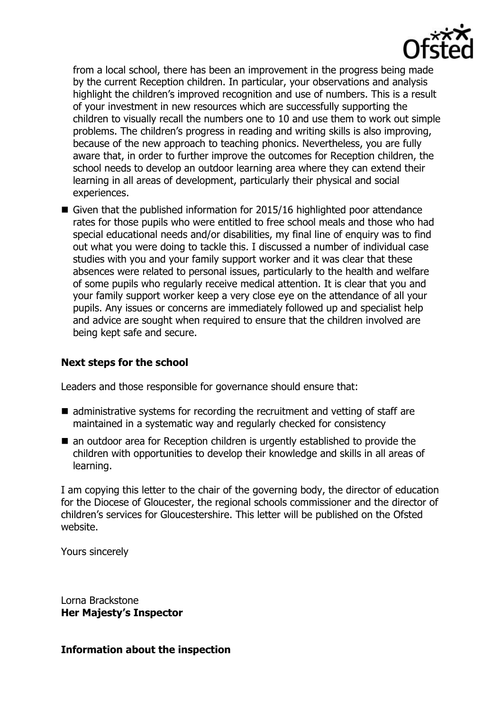

from a local school, there has been an improvement in the progress being made by the current Reception children. In particular, your observations and analysis highlight the children's improved recognition and use of numbers. This is a result of your investment in new resources which are successfully supporting the children to visually recall the numbers one to 10 and use them to work out simple problems. The children's progress in reading and writing skills is also improving, because of the new approach to teaching phonics. Nevertheless, you are fully aware that, in order to further improve the outcomes for Reception children, the school needs to develop an outdoor learning area where they can extend their learning in all areas of development, particularly their physical and social experiences.

Given that the published information for 2015/16 highlighted poor attendance rates for those pupils who were entitled to free school meals and those who had special educational needs and/or disabilities, my final line of enquiry was to find out what you were doing to tackle this. I discussed a number of individual case studies with you and your family support worker and it was clear that these absences were related to personal issues, particularly to the health and welfare of some pupils who regularly receive medical attention. It is clear that you and your family support worker keep a very close eye on the attendance of all your pupils. Any issues or concerns are immediately followed up and specialist help and advice are sought when required to ensure that the children involved are being kept safe and secure.

#### **Next steps for the school**

Leaders and those responsible for governance should ensure that:

- $\blacksquare$  administrative systems for recording the recruitment and vetting of staff are maintained in a systematic way and regularly checked for consistency
- an outdoor area for Reception children is urgently established to provide the children with opportunities to develop their knowledge and skills in all areas of learning.

I am copying this letter to the chair of the governing body, the director of education for the Diocese of Gloucester, the regional schools commissioner and the director of children's services for Gloucestershire. This letter will be published on the Ofsted website.

Yours sincerely

Lorna Brackstone **Her Majesty's Inspector**

#### **Information about the inspection**